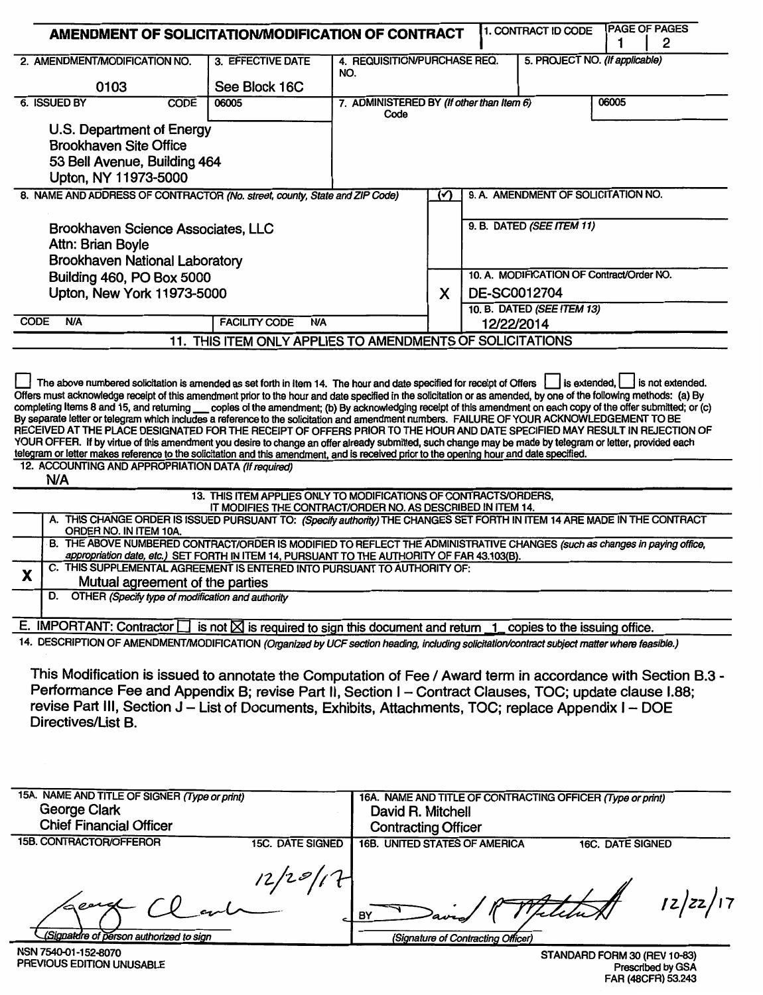| AMENDMENT OF SOLICITATION/MODIFICATION OF CONTRACT                                                                                                                                                                                                                                                                                                                                                                                                                                                   |                                                                                                                                 |                                                   |                   |                                           | 1. CONTRACT ID CODE                                        |       | <b>PAGE OF PAGES</b><br>2 |
|------------------------------------------------------------------------------------------------------------------------------------------------------------------------------------------------------------------------------------------------------------------------------------------------------------------------------------------------------------------------------------------------------------------------------------------------------------------------------------------------------|---------------------------------------------------------------------------------------------------------------------------------|---------------------------------------------------|-------------------|-------------------------------------------|------------------------------------------------------------|-------|---------------------------|
| 2. AMENDMENT/MODIFICATION NO.                                                                                                                                                                                                                                                                                                                                                                                                                                                                        | 3. EFFECTIVE DATE                                                                                                               | 4. REQUISITION/PURCHASE REQ.<br>NO.               |                   |                                           | 5. PROJECT NO. (If applicable)                             |       |                           |
| 0103                                                                                                                                                                                                                                                                                                                                                                                                                                                                                                 | See Block 16C                                                                                                                   |                                                   |                   |                                           |                                                            |       |                           |
| 6. ISSUED BY<br><b>CODE</b>                                                                                                                                                                                                                                                                                                                                                                                                                                                                          | 06005                                                                                                                           | 7. ADMINISTERED BY (If other than Item 6)<br>Code |                   |                                           |                                                            | 06005 |                           |
| U.S. Department of Energy<br><b>Brookhaven Site Office</b><br>53 Bell Avenue, Building 464<br>Upton, NY 11973-5000                                                                                                                                                                                                                                                                                                                                                                                   |                                                                                                                                 |                                                   |                   |                                           |                                                            |       |                           |
| 8. NAME AND ADDRESS OF CONTRACTOR (No. street, county, State and ZIP Code)                                                                                                                                                                                                                                                                                                                                                                                                                           |                                                                                                                                 |                                                   | ∽                 |                                           | 9. A. AMENDMENT OF SOLICITATION NO.                        |       |                           |
| Brookhaven Science Associates, LLC<br>Attn: Brian Boyle<br><b>Brookhaven National Laboratory</b>                                                                                                                                                                                                                                                                                                                                                                                                     |                                                                                                                                 |                                                   |                   |                                           | 9. B. DATED (SEE ITEM 11)                                  |       |                           |
| Building 460, PO Box 5000                                                                                                                                                                                                                                                                                                                                                                                                                                                                            |                                                                                                                                 |                                                   |                   | 10. A. MODIFICATION OF Contract/Order NO. |                                                            |       |                           |
| Upton, New York 11973-5000                                                                                                                                                                                                                                                                                                                                                                                                                                                                           |                                                                                                                                 |                                                   | X                 |                                           | DE-SC0012704                                               |       |                           |
| <b>N/A</b><br><b>CODE</b>                                                                                                                                                                                                                                                                                                                                                                                                                                                                            | <b>FACILITY CODE</b><br><b>N/A</b>                                                                                              | 10. B. DATED (SEE ITEM 13)<br>12/22/2014          |                   |                                           |                                                            |       |                           |
|                                                                                                                                                                                                                                                                                                                                                                                                                                                                                                      | 11. THIS ITEM ONLY APPLIES TO AMENDMENTS OF SOLICITATIONS                                                                       |                                                   |                   |                                           |                                                            |       |                           |
| telegram or letter makes reference to the solicitation and this amendment, and is received prior to the opening hour and date specified.<br>12. ACCOUNTING AND APPROPRIATION DATA (If required)<br>N/A                                                                                                                                                                                                                                                                                               | 13. THIS ITEM APPLIES ONLY TO MODIFICATIONS OF CONTRACTS/ORDERS,<br>IT MODIFIES THE CONTRACT/ORDER NO. AS DESCRIBED IN ITEM 14. |                                                   |                   |                                           |                                                            |       |                           |
| A. THIS CHANGE ORDER IS ISSUED PURSUANT TO: (Specify authority) THE CHANGES SET FORTH IN ITEM 14 ARE MADE IN THE CONTRACT                                                                                                                                                                                                                                                                                                                                                                            |                                                                                                                                 |                                                   |                   |                                           |                                                            |       |                           |
| ORDER NO. IN ITEM 10A.<br>B. THE ABOVE NUMBERED CONTRACT/ORDER IS MODIFIED TO REFLECT THE ADMINISTRATIVE CHANGES (such as changes in paying office,<br>appropriation date, etc.) SET FORTH IN ITEM 14, PURSUANT TO THE AUTHORITY OF FAR 43.103(B).                                                                                                                                                                                                                                                   |                                                                                                                                 |                                                   |                   |                                           |                                                            |       |                           |
| C. THIS SUPPLEMENTAL AGREEMENT IS ENTERED INTO PURSUANT TO AUTHORITY OF:<br>X<br>Mutual agreement of the parties                                                                                                                                                                                                                                                                                                                                                                                     |                                                                                                                                 |                                                   |                   |                                           |                                                            |       |                           |
| OTHER (Specify type of modification and authority<br>D.                                                                                                                                                                                                                                                                                                                                                                                                                                              |                                                                                                                                 |                                                   |                   |                                           |                                                            |       |                           |
| E. IMPORTANT: Contractor $\Box$ is not $\boxtimes$ is required to sign this document and return $\Box$ copies to the issuing office.                                                                                                                                                                                                                                                                                                                                                                 |                                                                                                                                 |                                                   |                   |                                           |                                                            |       |                           |
| 14. DESCRIPTION OF AMENDMENT/MODIFICATION (Organized by UCF section heading, including solicitation/contract subject matter where feasible.)<br>This Modification is issued to annotate the Computation of Fee / Award term in accordance with Section B.3 -<br>Performance Fee and Appendix B; revise Part II, Section I – Contract Clauses, TOC; update clause I.88;<br>revise Part III, Section J – List of Documents, Exhibits, Attachments, TOC; replace Appendix I – DOE<br>Directives/List B. |                                                                                                                                 |                                                   |                   |                                           |                                                            |       |                           |
| 15A. NAME AND TITLE OF SIGNER (Type or print)                                                                                                                                                                                                                                                                                                                                                                                                                                                        |                                                                                                                                 |                                                   |                   |                                           | 16A. NAME AND TITLE OF CONTRACTING OFFICER (Type or print) |       |                           |
| <b>George Clark</b><br><b>Chief Financial Officer</b>                                                                                                                                                                                                                                                                                                                                                                                                                                                |                                                                                                                                 |                                                   | David R. Mitchell |                                           |                                                            |       |                           |
| <b>15B CONTRACTOR/OECEROR</b>                                                                                                                                                                                                                                                                                                                                                                                                                                                                        | <b>Contracting Officer</b>                                                                                                      |                                                   |                   |                                           |                                                            |       |                           |

| 10D. CONTRACTORIOFFEROR                           | <b>15C. DATE SIGNED</b> | 16B. UNITED STATES OF AMERICA                         | 16C. DATE SIGNED |      |
|---------------------------------------------------|-------------------------|-------------------------------------------------------|------------------|------|
| lacerd<br>(Signature of person authorized to sign | 1201                    | $-1$ BY<br>aven<br>(Signature of Contracting Officer) | Felcher          | z/zz |

NSN 7540-01-152-8070<br>PREVIOUS EDITION UNUSABLE

STANDARD FORM 30 (REV 10-83)<br>Prescribed by GSA<br>FAR (48CFR) 53.243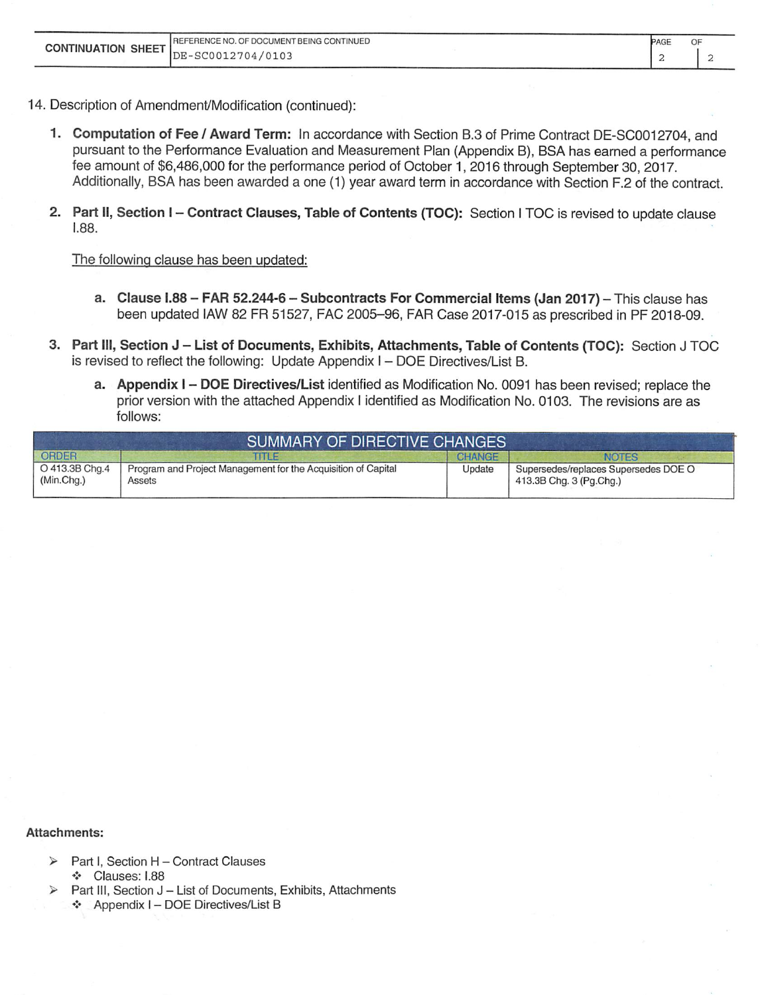|  | REFERENCE NO. OF DOCUMENT BEING CONTINUED | PAGE | OF |
|--|-------------------------------------------|------|----|
|  |                                           |      |    |

- 14. Description of Amendment/Modification (continued):
	- 1. Computation of Fee / Award Term: In accordance with Section B.3 of Prime Contract DE-SC0012704, and pursuant to the Performance Evaluation and Measurement Plan (Appendix B), BSA has earned a performance fee amount of \$6,486,000 for the performance period of October 1, 2016 through September 30, 2017. Additionally, BSA has been awarded a one (1) year award term in accordance with Section F.2 of the contract.
	- 2. Part II, Section I Contract Clauses, Table of Contents (TOC): Section I TOC is revised to update clause  $1.88.$

The following clause has been updated:

- a. Clause I.88 FAR 52.244-6 Subcontracts For Commercial Items (Jan 2017) This clause has been updated IAW 82 FR 51527, FAC 2005-96, FAR Case 2017-015 as prescribed in PF 2018-09.
- 3. Part III, Section J List of Documents, Exhibits, Attachments, Table of Contents (TOC): Section J TOC is revised to reflect the following: Update Appendix I - DOE Directives/List B.
	- a. Appendix I DOE Directives/List identified as Modification No. 0091 has been revised; replace the prior version with the attached Appendix I identified as Modification No. 0103. The revisions are as follows:

|                              | <b>SUMMARY OF DIRECTIVE CHANGES</b>                                     |        |                                                                 |
|------------------------------|-------------------------------------------------------------------------|--------|-----------------------------------------------------------------|
| ORDER                        | <b>THE</b>                                                              | CHANGE | <b>NOTES</b>                                                    |
| O 413.3B Chg.4<br>(Min.Chg.) | Program and Project Management for the Acquisition of Capital<br>Assets | Update | Supersedes/replaces Supersedes DOE O<br>413.3B Chg. 3 (Pg.Chg.) |

#### Attachments:

- Part I, Section H Contract Clauses ❖ Clauses: I.88
- Part III, Section J List of Documents, Exhibits, Attachments ❖ Appendix I - DOE Directives/List B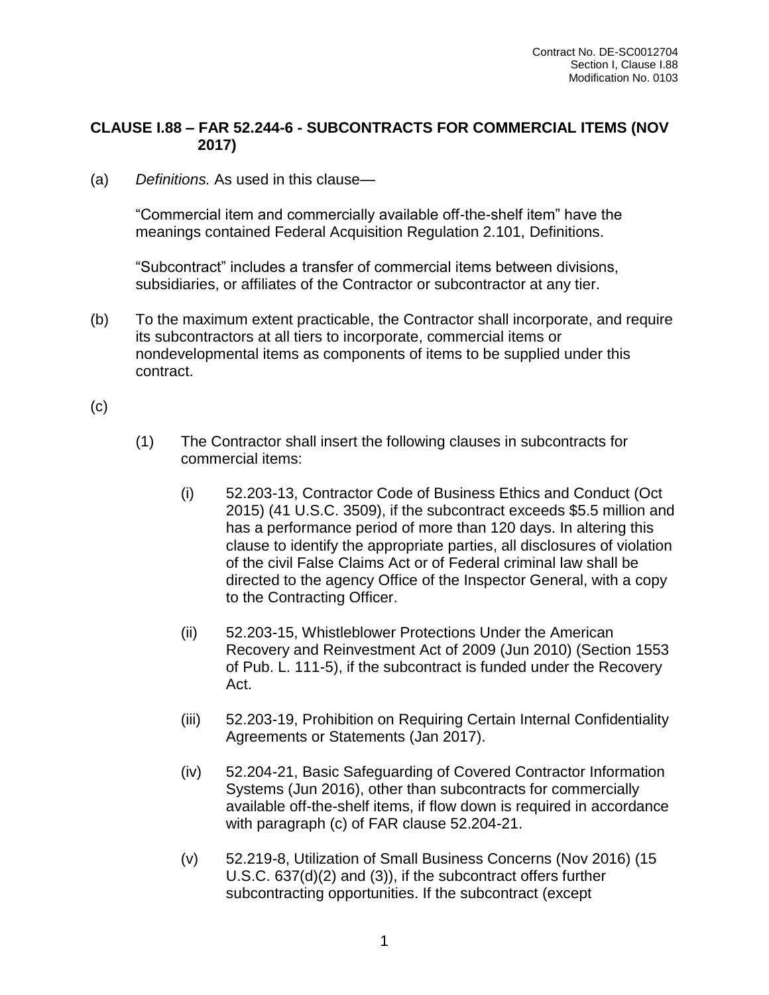## **CLAUSE I.88 – FAR 52.244-6 - SUBCONTRACTS FOR COMMERCIAL ITEMS (NOV 2017)**

(a) *Definitions.* As used in this clause—

"Commercial item and commercially available off-the-shelf item" have the meanings contained Federal Acquisition Regulation 2.101, Definitions.

"Subcontract" includes a transfer of commercial items between divisions, subsidiaries, or affiliates of the Contractor or subcontractor at any tier.

- (b) To the maximum extent practicable, the Contractor shall incorporate, and require its subcontractors at all tiers to incorporate, commercial items or nondevelopmental items as components of items to be supplied under this contract.
- (c)
- (1) The Contractor shall insert the following clauses in subcontracts for commercial items:
	- (i) 52.203-13, Contractor Code of Business Ethics and Conduct (Oct 2015) (41 U.S.C. 3509), if the subcontract exceeds \$5.5 million and has a performance period of more than 120 days. In altering this clause to identify the appropriate parties, all disclosures of violation of the civil False Claims Act or of Federal criminal law shall be directed to the agency Office of the Inspector General, with a copy to the Contracting Officer.
	- (ii) 52.203-15, Whistleblower Protections Under the American Recovery and Reinvestment Act of 2009 (Jun 2010) (Section 1553 of Pub. L. 111-5), if the subcontract is funded under the Recovery Act.
	- (iii) 52.203-19, Prohibition on Requiring Certain Internal Confidentiality Agreements or Statements (Jan 2017).
	- (iv) 52.204-21, Basic Safeguarding of Covered Contractor Information Systems (Jun 2016), other than subcontracts for commercially available off-the-shelf items, if flow down is required in accordance with paragraph (c) of FAR clause 52.204-21.
	- (v) 52.219-8, Utilization of Small Business Concerns (Nov 2016) (15 U.S.C. 637(d)(2) and (3)), if the subcontract offers further subcontracting opportunities. If the subcontract (except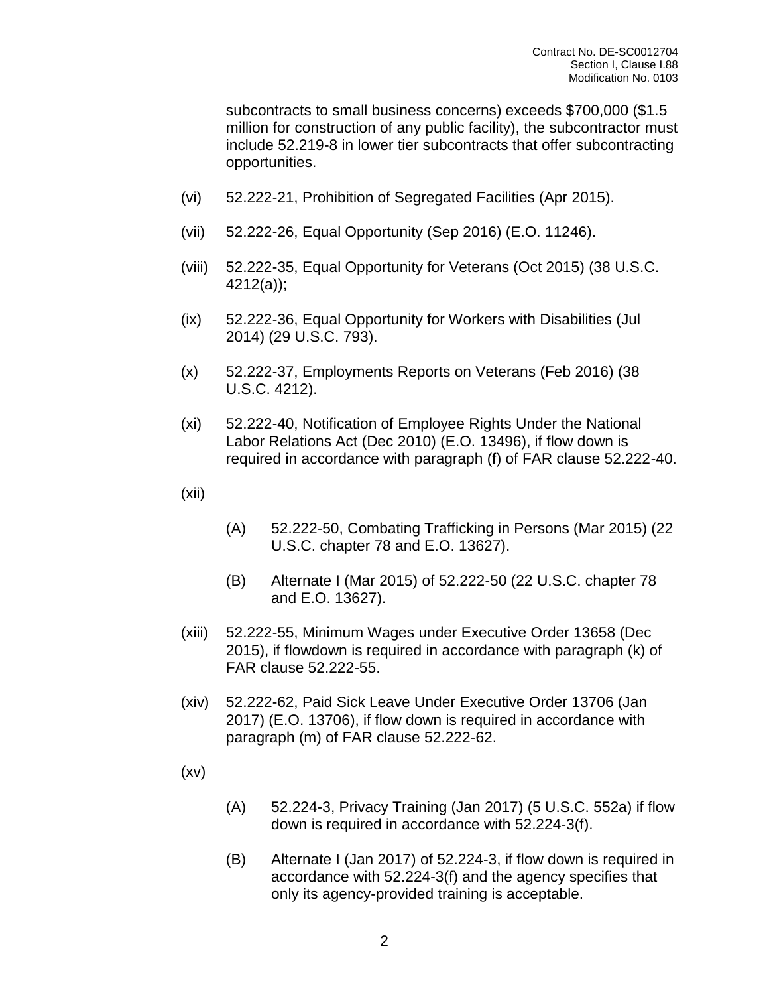subcontracts to small business concerns) exceeds \$700,000 (\$1.5 million for construction of any public facility), the subcontractor must include 52.219-8 in lower tier subcontracts that offer subcontracting opportunities.

- (vi) 52.222-21, Prohibition of Segregated Facilities (Apr 2015).
- (vii) 52.222-26, Equal Opportunity (Sep 2016) (E.O. 11246).
- (viii) 52.222-35, Equal Opportunity for Veterans (Oct 2015) (38 U.S.C. 4212(a));
- (ix) 52.222-36, Equal Opportunity for Workers with Disabilities (Jul 2014) (29 U.S.C. 793).
- (x) 52.222-37, Employments Reports on Veterans (Feb 2016) (38 U.S.C. 4212).
- (xi) 52.222-40, Notification of Employee Rights Under the National Labor Relations Act (Dec 2010) (E.O. 13496), if flow down is required in accordance with paragraph (f) of FAR clause 52.222-40.
- (xii)
- (A) 52.222-50, Combating Trafficking in Persons (Mar 2015) (22 U.S.C. chapter 78 and E.O. 13627).
- (B) Alternate I (Mar 2015) of 52.222-50 (22 U.S.C. chapter 78 and E.O. 13627).
- (xiii) 52.222-55, Minimum Wages under Executive Order 13658 (Dec 2015), if flowdown is required in accordance with paragraph (k) of FAR clause 52.222-55.
- (xiv) 52.222-62, Paid Sick Leave Under Executive Order 13706 (Jan 2017) (E.O. 13706), if flow down is required in accordance with paragraph (m) of FAR clause 52.222-62.
- (xv)
- (A) 52.224-3, Privacy Training (Jan 2017) (5 U.S.C. 552a) if flow down is required in accordance with 52.224-3(f).
- (B) Alternate I (Jan 2017) of 52.224-3, if flow down is required in accordance with 52.224-3(f) and the agency specifies that only its agency-provided training is acceptable.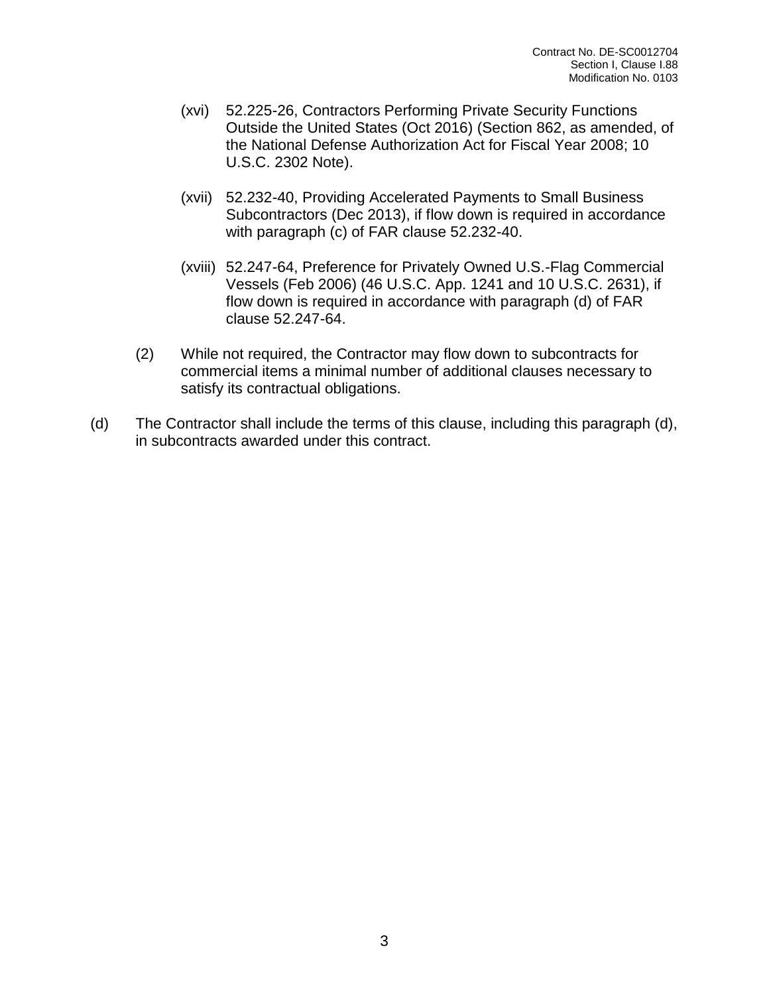- (xvi) 52.225-26, Contractors Performing Private Security Functions Outside the United States (Oct 2016) (Section 862, as amended, of the National Defense Authorization Act for Fiscal Year 2008; 10 U.S.C. 2302 Note).
- (xvii) 52.232-40, Providing Accelerated Payments to Small Business Subcontractors (Dec 2013), if flow down is required in accordance with paragraph (c) of FAR clause 52.232-40.
- (xviii) 52.247-64, Preference for Privately Owned U.S.-Flag Commercial Vessels (Feb 2006) (46 U.S.C. App. 1241 and 10 U.S.C. 2631), if flow down is required in accordance with paragraph (d) of FAR clause 52.247-64.
- (2) While not required, the Contractor may flow down to subcontracts for commercial items a minimal number of additional clauses necessary to satisfy its contractual obligations.
- (d) The Contractor shall include the terms of this clause, including this paragraph (d), in subcontracts awarded under this contract.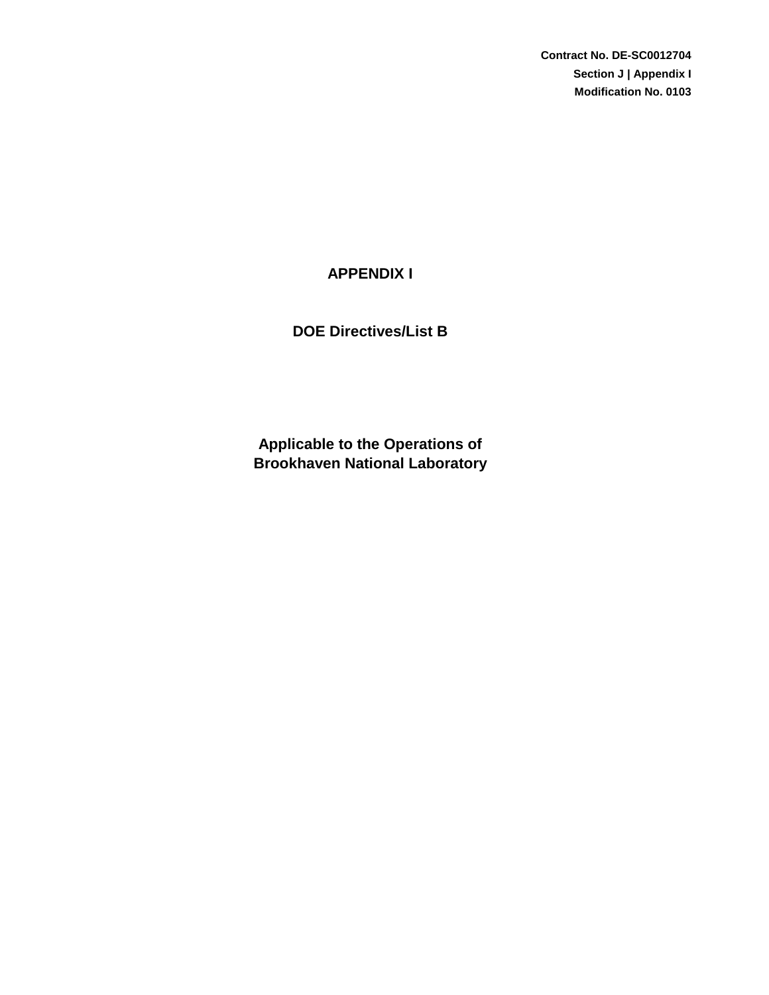**Contract No. DE-SC0012704 Section J | Appendix I Modification No. 0103**

# **APPENDIX I**

**DOE Directives/List B**

**Brookhaven National Laboratory Applicable to the Operations of**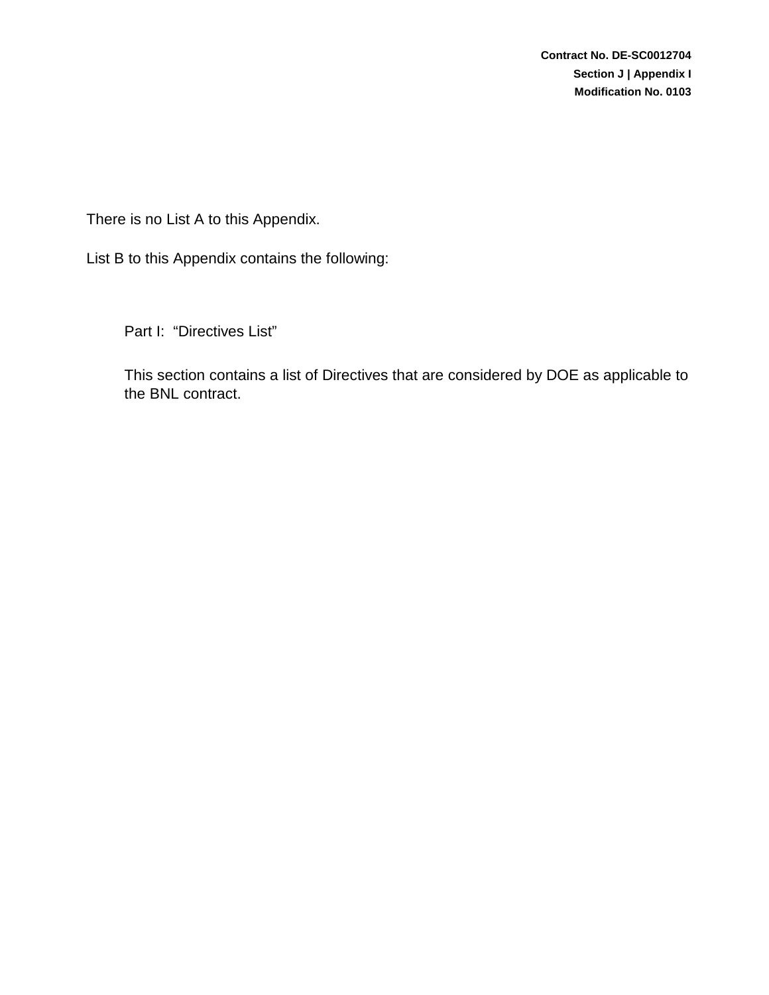There is no List A to this Appendix.

List B to this Appendix contains the following:

Part I: "Directives List"

This section contains a list of Directives that are considered by DOE as applicable to the BNL contract.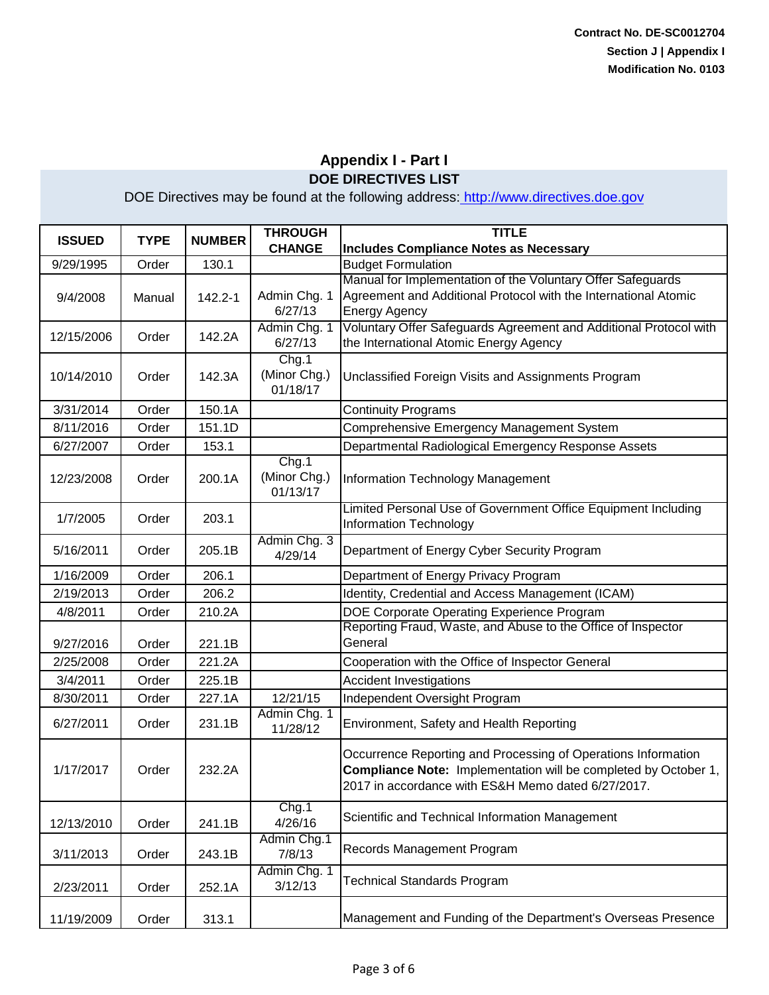| <b>ISSUED</b> | <b>TYPE</b> | <b>NUMBER</b> | <b>THROUGH</b><br><b>CHANGE</b>   | <b>TITLE</b><br><b>Includes Compliance Notes as Necessary</b>                                                                                                                                 |
|---------------|-------------|---------------|-----------------------------------|-----------------------------------------------------------------------------------------------------------------------------------------------------------------------------------------------|
| 9/29/1995     | Order       | 130.1         |                                   | <b>Budget Formulation</b>                                                                                                                                                                     |
| 9/4/2008      | Manual      | 142.2-1       | Admin Chg. 1<br>6/27/13           | Manual for Implementation of the Voluntary Offer Safeguards<br>Agreement and Additional Protocol with the International Atomic<br><b>Energy Agency</b>                                        |
| 12/15/2006    | Order       | 142.2A        | Admin Chg. 1<br>6/27/13           | Voluntary Offer Safeguards Agreement and Additional Protocol with<br>the International Atomic Energy Agency                                                                                   |
| 10/14/2010    | Order       | 142.3A        | Chg.1<br>(Minor Chg.)<br>01/18/17 | Unclassified Foreign Visits and Assignments Program                                                                                                                                           |
| 3/31/2014     | Order       | 150.1A        |                                   | <b>Continuity Programs</b>                                                                                                                                                                    |
| 8/11/2016     | Order       | 151.1D        |                                   | Comprehensive Emergency Management System                                                                                                                                                     |
| 6/27/2007     | Order       | 153.1         |                                   | Departmental Radiological Emergency Response Assets                                                                                                                                           |
| 12/23/2008    | Order       | 200.1A        | Chg.1<br>(Minor Chg.)<br>01/13/17 | Information Technology Management                                                                                                                                                             |
| 1/7/2005      | Order       | 203.1         |                                   | Limited Personal Use of Government Office Equipment Including<br>Information Technology                                                                                                       |
| 5/16/2011     | Order       | 205.1B        | Admin Chg. 3<br>4/29/14           | Department of Energy Cyber Security Program                                                                                                                                                   |
| 1/16/2009     | Order       | 206.1         |                                   | Department of Energy Privacy Program                                                                                                                                                          |
| 2/19/2013     | Order       | 206.2         |                                   | Identity, Credential and Access Management (ICAM)                                                                                                                                             |
| 4/8/2011      | Order       | 210.2A        |                                   | DOE Corporate Operating Experience Program                                                                                                                                                    |
| 9/27/2016     | Order       | 221.1B        |                                   | Reporting Fraud, Waste, and Abuse to the Office of Inspector<br>General                                                                                                                       |
| 2/25/2008     | Order       | 221.2A        |                                   | Cooperation with the Office of Inspector General                                                                                                                                              |
| 3/4/2011      | Order       | 225.1B        |                                   | <b>Accident Investigations</b>                                                                                                                                                                |
| 8/30/2011     | Order       | 227.1A        | 12/21/15                          | Independent Oversight Program                                                                                                                                                                 |
| 6/27/2011     | Order       | 231.1B        | Admin Chg. 1<br>11/28/12          | Environment, Safety and Health Reporting                                                                                                                                                      |
| 1/17/2017     | Order       | 232.2A        |                                   | Occurrence Reporting and Processing of Operations Information<br><b>Compliance Note:</b> Implementation will be completed by October 1,<br>2017 in accordance with ES&H Memo dated 6/27/2017. |
| 12/13/2010    | Order       | 241.1B        | Chg.1<br>4/26/16                  | Scientific and Technical Information Management                                                                                                                                               |
| 3/11/2013     | Order       | 243.1B        | Admin Chg.1<br>7/8/13             | Records Management Program                                                                                                                                                                    |
| 2/23/2011     | Order       | 252.1A        | Admin Chg. 1<br>3/12/13           | <b>Technical Standards Program</b>                                                                                                                                                            |
| 11/19/2009    | Order       | 313.1         |                                   | Management and Funding of the Department's Overseas Presence                                                                                                                                  |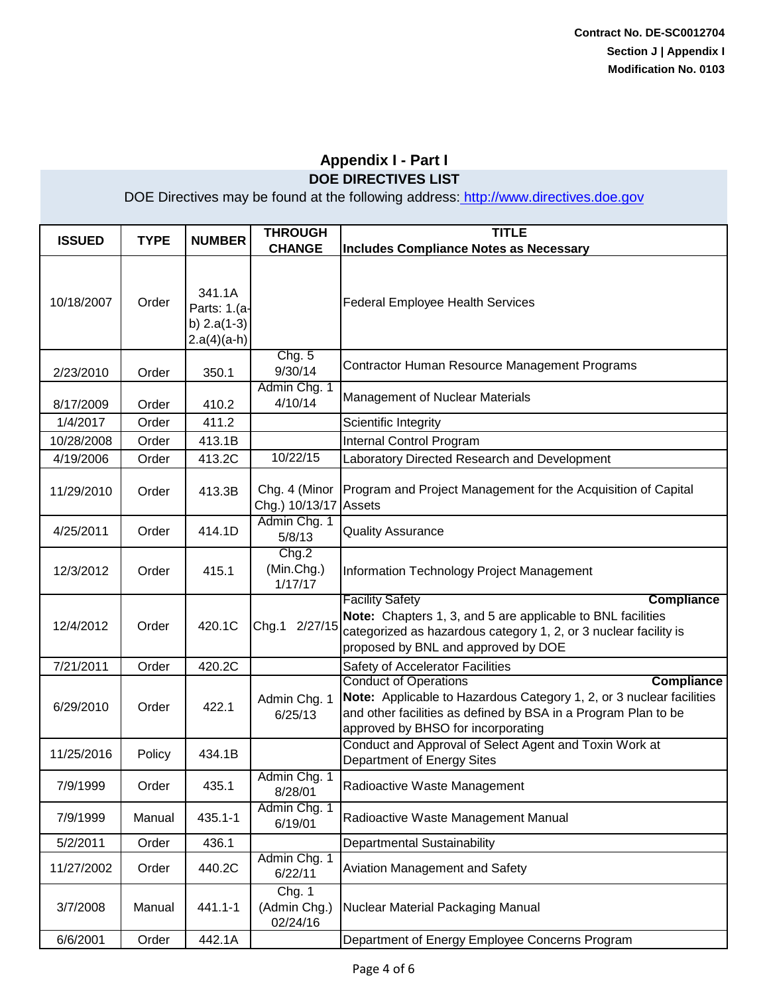| <b>ISSUED</b> | <b>TYPE</b> | <b>NUMBER</b>                                            | <b>THROUGH</b><br><b>CHANGE</b>    | <b>TITLE</b><br><b>Includes Compliance Notes as Necessary</b>                                                                                                                                                                     |
|---------------|-------------|----------------------------------------------------------|------------------------------------|-----------------------------------------------------------------------------------------------------------------------------------------------------------------------------------------------------------------------------------|
| 10/18/2007    | Order       | 341.1A<br>Parts: 1.(a-<br>b) $2.a(1-3)$<br>$2.a(4)(a-h)$ |                                    | <b>Federal Employee Health Services</b>                                                                                                                                                                                           |
| 2/23/2010     | Order       | 350.1                                                    | Chg. 5<br>9/30/14                  | Contractor Human Resource Management Programs                                                                                                                                                                                     |
| 8/17/2009     | Order       | 410.2                                                    | Admin Chg. 1<br>4/10/14            | <b>Management of Nuclear Materials</b>                                                                                                                                                                                            |
| 1/4/2017      | Order       | 411.2                                                    |                                    | Scientific Integrity                                                                                                                                                                                                              |
| 10/28/2008    | Order       | 413.1B                                                   |                                    | <b>Internal Control Program</b>                                                                                                                                                                                                   |
| 4/19/2006     | Order       | 413.2C                                                   | 10/22/15                           | Laboratory Directed Research and Development                                                                                                                                                                                      |
| 11/29/2010    | Order       | 413.3B                                                   | Chg. 4 (Minor<br>Chg.) 10/13/17    | Program and Project Management for the Acquisition of Capital<br><b>Assets</b>                                                                                                                                                    |
| 4/25/2011     | Order       | 414.1D                                                   | Admin Chg. 1<br>5/8/13             | <b>Quality Assurance</b>                                                                                                                                                                                                          |
| 12/3/2012     | Order       | 415.1                                                    | Chg.2<br>(Min.Chg.)<br>1/17/17     | Information Technology Project Management                                                                                                                                                                                         |
| 12/4/2012     | Order       | 420.1C                                                   | Chg.1 2/27/15                      | <b>Facility Safety</b><br><b>Compliance</b><br>Note: Chapters 1, 3, and 5 are applicable to BNL facilities<br>categorized as hazardous category 1, 2, or 3 nuclear facility is<br>proposed by BNL and approved by DOE             |
| 7/21/2011     | Order       | 420.2C                                                   |                                    | Safety of Accelerator Facilities                                                                                                                                                                                                  |
| 6/29/2010     | Order       | 422.1                                                    | Admin Chg. 1<br>6/25/13            | <b>Conduct of Operations</b><br><b>Compliance</b><br>Note: Applicable to Hazardous Category 1, 2, or 3 nuclear facilities<br>and other facilities as defined by BSA in a Program Plan to be<br>approved by BHSO for incorporating |
| 11/25/2016    | Policy      | 434.1B                                                   |                                    | Conduct and Approval of Select Agent and Toxin Work at<br>Department of Energy Sites                                                                                                                                              |
| 7/9/1999      | Order       | 435.1                                                    | Admin Chg. 1<br>8/28/01            | Radioactive Waste Management                                                                                                                                                                                                      |
| 7/9/1999      | Manual      | $435.1 - 1$                                              | Admin Chg. 1<br>6/19/01            | Radioactive Waste Management Manual                                                                                                                                                                                               |
| 5/2/2011      | Order       | 436.1                                                    |                                    | <b>Departmental Sustainability</b>                                                                                                                                                                                                |
| 11/27/2002    | Order       | 440.2C                                                   | Admin Chg. 1<br>6/22/11            | Aviation Management and Safety                                                                                                                                                                                                    |
| 3/7/2008      | Manual      | 441.1-1                                                  | Chg. 1<br>(Admin Chg.)<br>02/24/16 | Nuclear Material Packaging Manual                                                                                                                                                                                                 |
| 6/6/2001      | Order       | 442.1A                                                   |                                    | Department of Energy Employee Concerns Program                                                                                                                                                                                    |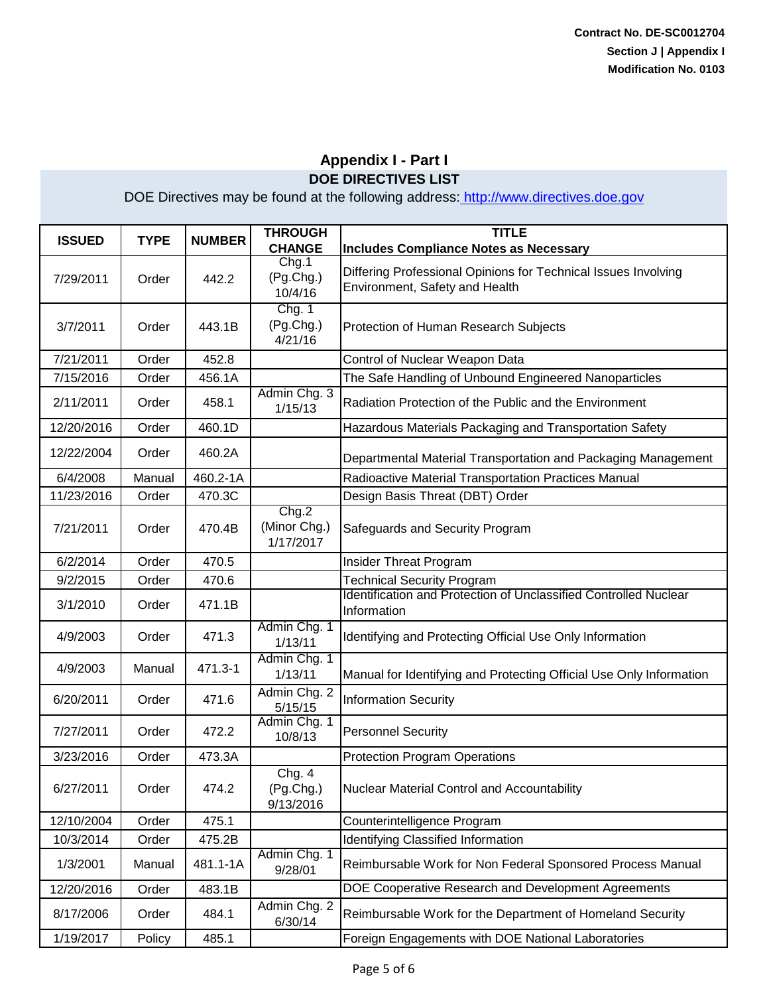| <b>ISSUED</b> | <b>TYPE</b> | <b>NUMBER</b> | <b>THROUGH</b><br><b>CHANGE</b>    | <b>TITLE</b><br><b>Includes Compliance Notes as Necessary</b>                                    |
|---------------|-------------|---------------|------------------------------------|--------------------------------------------------------------------------------------------------|
| 7/29/2011     | Order       | 442.2         | Chg.1<br>(Pg.Chg.)<br>10/4/16      | Differing Professional Opinions for Technical Issues Involving<br>Environment, Safety and Health |
| 3/7/2011      | Order       | 443.1B        | Chg. 1<br>(Pg.Chg.)<br>4/21/16     | Protection of Human Research Subjects                                                            |
| 7/21/2011     | Order       | 452.8         |                                    | Control of Nuclear Weapon Data                                                                   |
| 7/15/2016     | Order       | 456.1A        |                                    | The Safe Handling of Unbound Engineered Nanoparticles                                            |
| 2/11/2011     | Order       | 458.1         | Admin Chg. 3<br>1/15/13            | Radiation Protection of the Public and the Environment                                           |
| 12/20/2016    | Order       | 460.1D        |                                    | Hazardous Materials Packaging and Transportation Safety                                          |
| 12/22/2004    | Order       | 460.2A        |                                    | Departmental Material Transportation and Packaging Management                                    |
| 6/4/2008      | Manual      | 460.2-1A      |                                    | Radioactive Material Transportation Practices Manual                                             |
| 11/23/2016    | Order       | 470.3C        |                                    | Design Basis Threat (DBT) Order                                                                  |
| 7/21/2011     | Order       | 470.4B        | Chg.2<br>(Minor Chg.)<br>1/17/2017 | Safeguards and Security Program                                                                  |
| 6/2/2014      | Order       | 470.5         |                                    | <b>Insider Threat Program</b>                                                                    |
| 9/2/2015      | Order       | 470.6         |                                    | <b>Technical Security Program</b>                                                                |
| 3/1/2010      | Order       | 471.1B        |                                    | Identification and Protection of Unclassified Controlled Nuclear<br>Information                  |
| 4/9/2003      | Order       | 471.3         | Admin Chg. 1<br>1/13/11            | Identifying and Protecting Official Use Only Information                                         |
| 4/9/2003      | Manual      | 471.3-1       | Admin Chg. 1<br>1/13/11            | Manual for Identifying and Protecting Official Use Only Information                              |
| 6/20/2011     | Order       | 471.6         | Admin Chg. 2<br>5/15/15            | <b>Information Security</b>                                                                      |
| 7/27/2011     | Order       | 472.2         | Admin Chg. 1<br>10/8/13            | <b>Personnel Security</b>                                                                        |
| 3/23/2016     | Order       | 473.3A        |                                    | <b>Protection Program Operations</b>                                                             |
| 6/27/2011     | Order       | 474.2         | Chg. 4<br>(Pg.Chg.)<br>9/13/2016   | Nuclear Material Control and Accountability                                                      |
| 12/10/2004    | Order       | 475.1         |                                    | Counterintelligence Program                                                                      |
| 10/3/2014     | Order       | 475.2B        |                                    | Identifying Classified Information                                                               |
| 1/3/2001      | Manual      | 481.1-1A      | Admin Chg. 1<br>9/28/01            | Reimbursable Work for Non Federal Sponsored Process Manual                                       |
| 12/20/2016    | Order       | 483.1B        |                                    | DOE Cooperative Research and Development Agreements                                              |
| 8/17/2006     | Order       | 484.1         | Admin Chg. 2<br>6/30/14            | Reimbursable Work for the Department of Homeland Security                                        |
| 1/19/2017     | Policy      | 485.1         |                                    | Foreign Engagements with DOE National Laboratories                                               |